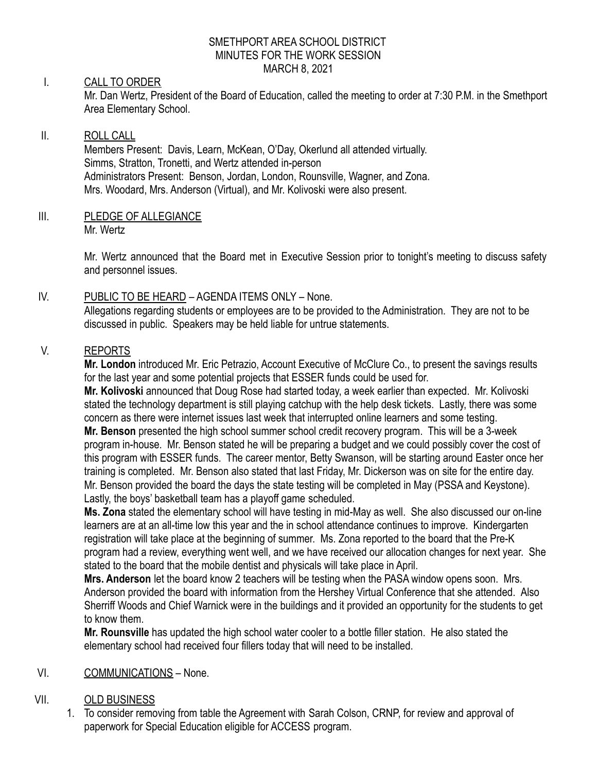#### SMETHPORT AREA SCHOOL DISTRICT MINUTES FOR THE WORK SESSION MARCH 8, 2021

# I. CALL TO ORDER

Mr. Dan Wertz, President of the Board of Education, called the meeting to order at 7:30 P.M. in the Smethport Area Elementary School.

# II. ROLL CALL

Members Present: Davis, Learn, McKean, O'Day, Okerlund all attended virtually. Simms, Stratton, Tronetti, and Wertz attended in-person Administrators Present: Benson, Jordan, London, Rounsville, Wagner, and Zona. Mrs. Woodard, Mrs. Anderson (Virtual), and Mr. Kolivoski were also present.

III. PLEDGE OF ALLEGIANCE Mr. Wertz

> Mr. Wertz announced that the Board met in Executive Session prior to tonight's meeting to discuss safety and personnel issues.

# IV. PUBLIC TO BE HEARD – AGENDA ITEMS ONLY – None.

Allegations regarding students or employees are to be provided to the Administration. They are not to be discussed in public. Speakers may be held liable for untrue statements.

# V. REPORTS

**Mr. London** introduced Mr. Eric Petrazio, Account Executive of McClure Co., to present the savings results for the last year and some potential projects that ESSER funds could be used for.

**Mr. Kolivoski** announced that Doug Rose had started today, a week earlier than expected. Mr. Kolivoski stated the technology department is still playing catchup with the help desk tickets. Lastly, there was some concern as there were internet issues last week that interrupted online learners and some testing. **Mr. Benson** presented the high school summer school credit recovery program. This will be a 3-week program in-house. Mr. Benson stated he will be preparing a budget and we could possibly cover the cost of this program with ESSER funds. The career mentor, Betty Swanson, will be starting around Easter once her training is completed. Mr. Benson also stated that last Friday, Mr. Dickerson was on site for the entire day. Mr. Benson provided the board the days the state testing will be completed in May (PSSA and Keystone). Lastly, the boys' basketball team has a playoff game scheduled.

**Ms. Zona** stated the elementary school will have testing in mid-May as well. She also discussed our on-line learners are at an all-time low this year and the in school attendance continues to improve. Kindergarten registration will take place at the beginning of summer. Ms. Zona reported to the board that the Pre-K program had a review, everything went well, and we have received our allocation changes for next year. She stated to the board that the mobile dentist and physicals will take place in April.

**Mrs. Anderson** let the board know 2 teachers will be testing when the PASA window opens soon. Mrs. Anderson provided the board with information from the Hershey Virtual Conference that she attended. Also Sherriff Woods and Chief Warnick were in the buildings and it provided an opportunity for the students to get to know them.

**Mr. Rounsville** has updated the high school water cooler to a bottle filler station. He also stated the elementary school had received four fillers today that will need to be installed.

# VI. COMMUNICATIONS – None.

# VII. OLD BUSINESS

1. To consider removing from table the Agreement with Sarah Colson, CRNP, for review and approval of paperwork for Special Education eligible for ACCESS program.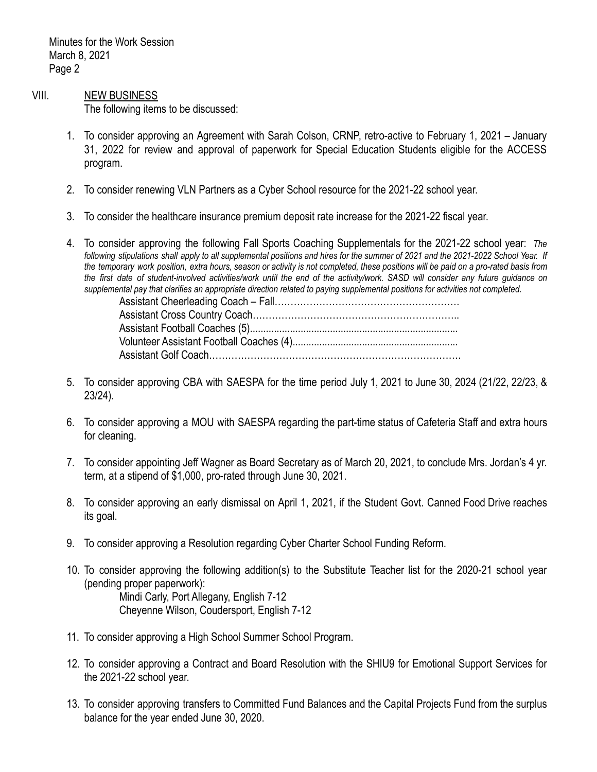Minutes for the Work Session March 8, 2021 Page 2

#### VIII. NEW BUSINESS

The following items to be discussed:

- 1. To consider approving an Agreement with Sarah Colson, CRNP, retro-active to February 1, 2021 January 31, 2022 for review and approval of paperwork for Special Education Students eligible for the ACCESS program.
- 2. To consider renewing VLN Partners as a Cyber School resource for the 2021-22 school year.
- 3. To consider the healthcare insurance premium deposit rate increase for the 2021-22 fiscal year.
- 4. To consider approving the following Fall Sports Coaching Supplementals for the 2021-22 school year: *The* following stipulations shall apply to all supplemental positions and hires for the summer of 2021 and the 2021-2022 School Year. If the temporary work position, extra hours, season or activity is not completed, these positions will be paid on a pro-rated basis from the first date of student-involved activities/work until the end of the activity/work. SASD will consider any future guidance on supplemental pay that clarifies an appropriate direction related to paying supplemental positions for activities not completed.

- 5. To consider approving CBA with SAESPA for the time period July 1, 2021 to June 30, 2024 (21/22, 22/23, & 23/24).
- 6. To consider approving a MOU with SAESPA regarding the part-time status of Cafeteria Staff and extra hours for cleaning.
- 7. To consider appointing Jeff Wagner as Board Secretary as of March 20, 2021, to conclude Mrs. Jordan's 4 yr. term, at a stipend of \$1,000, pro-rated through June 30, 2021.
- 8. To consider approving an early dismissal on April 1, 2021, if the Student Govt. Canned Food Drive reaches its goal.
- 9. To consider approving a Resolution regarding Cyber Charter School Funding Reform.
- 10. To consider approving the following addition(s) to the Substitute Teacher list for the 2020-21 school year (pending proper paperwork): Mindi Carly, Port Allegany, English 7-12

Cheyenne Wilson, Coudersport, English 7-12

- 11. To consider approving a High School Summer School Program.
- 12. To consider approving a Contract and Board Resolution with the SHIU9 for Emotional Support Services for the 2021-22 school year.
- 13. To consider approving transfers to Committed Fund Balances and the Capital Projects Fund from the surplus balance for the year ended June 30, 2020.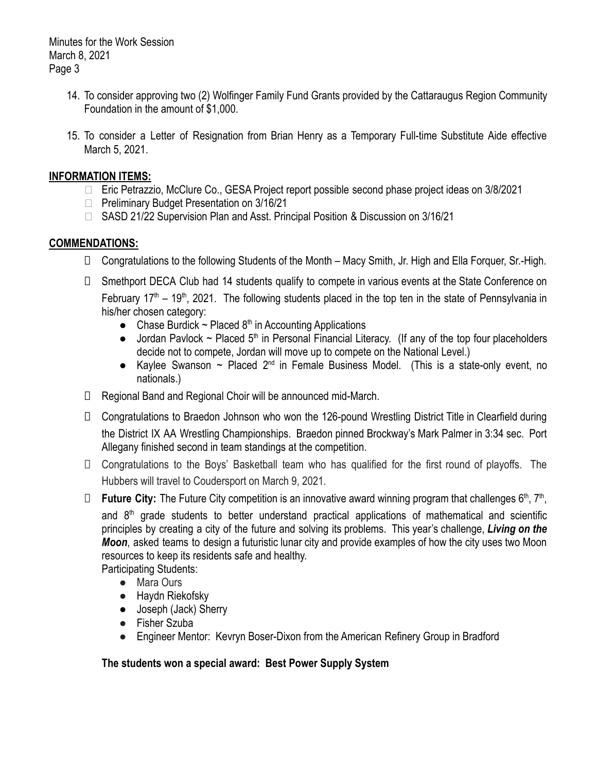Minutes for the Work Session March 8, 2021 Page 3

- 14. To consider approving two (2) Wolfinger Family Fund Grants provided by the Cattaraugus Region Community Foundation in the amount of \$1,000.
- 15. To consider a Letter of Resignation from Brian Henry as a Temporary Full-time Substitute Aide effective March 5, 2021.

### **INFORMATION ITEMS:**

- □ Eric Petrazzio, McClure Co., GESA Project report possible second phase project ideas on 3/8/2021
- □ Preliminary Budget Presentation on 3/16/21
- □ SASD 21/22 Supervision Plan and Asst. Principal Position & Discussion on 3/16/21

### **COMMENDATIONS:**

- □ Congratulations to the following Students of the Month Macy Smith, Jr. High and Ella Forquer, Sr.-High.
- □ Smethport DECA Club had 14 students qualify to compete in various events at the State Conference on February  $17<sup>th</sup> - 19<sup>th</sup>$ , 2021. The following students placed in the top ten in the state of Pennsylvania in his/her chosen category:
	- Chase Burdick  $\sim$  Placed 8<sup>th</sup> in Accounting Applications
	- Jordan Pavlock  $\sim$  Placed 5<sup>th</sup> in Personal Financial Literacy. (If any of the top four placeholders decide not to compete, Jordan will move up to compete on the National Level.)
	- Kaylee Swanson  $\sim$  Placed 2<sup>nd</sup> in Female Business Model. (This is a state-only event, no nationals.)
- ⮚ Regional Band and Regional Choir will be announced mid-March.
- □ Congratulations to Braedon Johnson who won the 126-pound Wrestling District Title in Clearfield during the District IX AA Wrestling Championships. Braedon pinned Brockway's Mark Palmer in 3:34 sec. Port Allegany finished second in team standings at the competition.
- ⮚ Congratulations to the Boys' Basketball team who has qualified for the first round of playoffs. The Hubbers will travel to Coudersport on March 9, 2021.
- □ **Future City:** The Future City competition is an innovative award winning program that challenges 6<sup>th</sup>, 7<sup>th</sup>,

and  $8<sup>th</sup>$  grade students to better understand practical applications of mathematical and scientific principles by creating a city of the future and solving its problems. This year's challenge, *Living on the Moon*, asked teams to design a futuristic lunar city and provide examples of how the city uses two Moon resources to keep its residents safe and healthy.

Participating Students:

- Mara Ours
- Haydn Riekofsky
- Joseph (Jack) Sherry
- Fisher Szuba
- Engineer Mentor: Kevryn Boser-Dixon from the American Refinery Group in Bradford

**The students won a special award: Best Power Supply System**